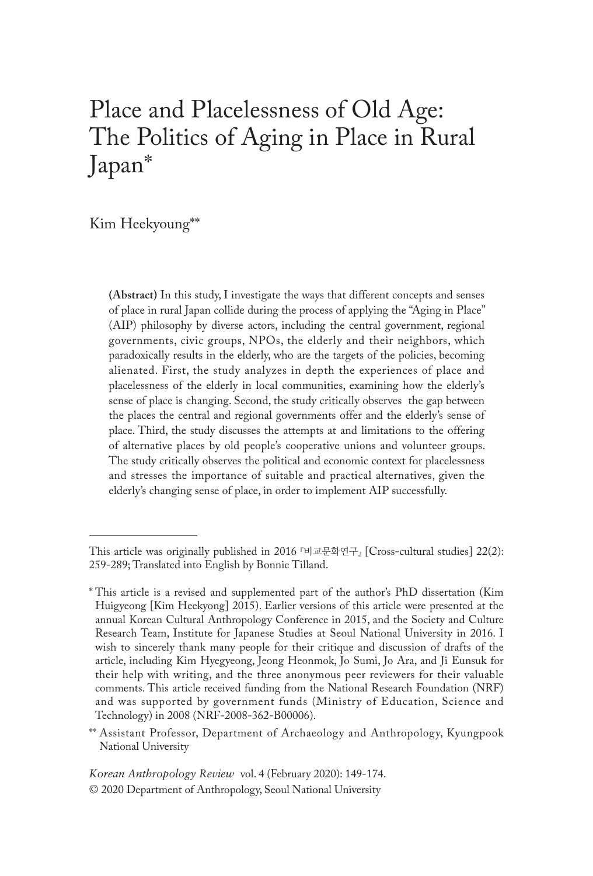# Place and Placelessness of Old Age: The Politics of Aging in Place in Rural Japan\*

Kim Heekyoung\*\*

**(Abstract)** In this study, I investigate the ways that different concepts and senses of place in rural Japan collide during the process of applying the "Aging in Place" (AIP) philosophy by diverse actors, including the central government, regional governments, civic groups, NPOs, the elderly and their neighbors, which paradoxically results in the elderly, who are the targets of the policies, becoming alienated. First, the study analyzes in depth the experiences of place and placelessness of the elderly in local communities, examining how the elderly's sense of place is changing. Second, the study critically observes the gap between the places the central and regional governments offer and the elderly's sense of place. Third, the study discusses the attempts at and limitations to the offering of alternative places by old people's cooperative unions and volunteer groups. The study critically observes the political and economic context for placelessness and stresses the importance of suitable and practical alternatives, given the elderly's changing sense of place, in order to implement AIP successfully.

This article was originally published in 2016 『비교문화연구』 [Cross-cultural studies] 22(2): 259-289; Translated into English by Bonnie Tilland.

<sup>\*</sup> This article is a revised and supplemented part of the author's PhD dissertation (Kim Huigyeong [Kim Heekyong] 2015). Earlier versions of this article were presented at the annual Korean Cultural Anthropology Conference in 2015, and the Society and Culture Research Team, Institute for Japanese Studies at Seoul National University in 2016. I wish to sincerely thank many people for their critique and discussion of drafts of the article, including Kim Hyegyeong, Jeong Heonmok, Jo Sumi, Jo Ara, and Ji Eunsuk for their help with writing, and the three anonymous peer reviewers for their valuable comments. This article received funding from the National Research Foundation (NRF) and was supported by government funds (Ministry of Education, Science and Technology) in 2008 (NRF-2008-362-B00006).

<sup>\*\*</sup> Assistant Professor, Department of Archaeology and Anthropology, Kyungpook National University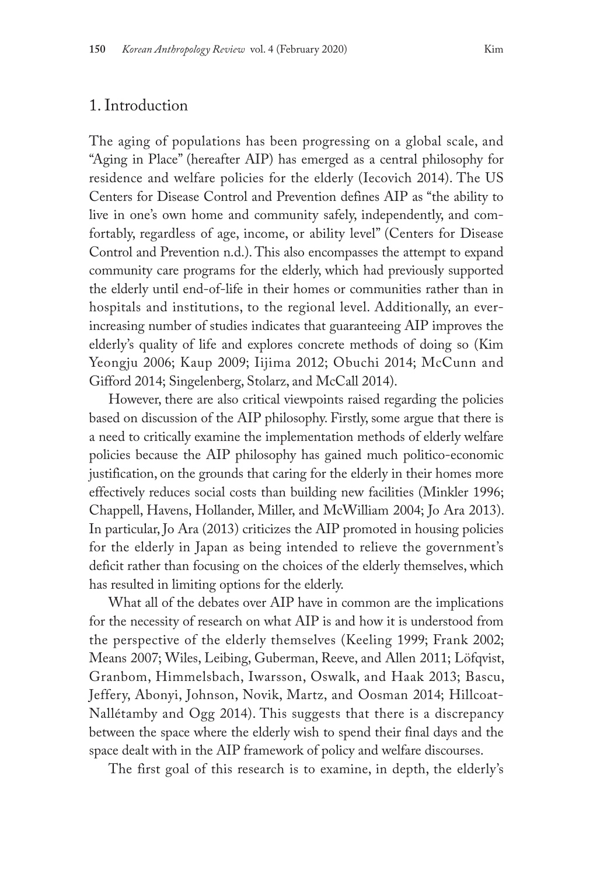The aging of populations has been progressing on a global scale, and "Aging in Place" (hereafter AIP) has emerged as a central philosophy for residence and welfare policies for the elderly (Iecovich 2014). The US Centers for Disease Control and Prevention defines AIP as "the ability to live in one's own home and community safely, independently, and comfortably, regardless of age, income, or ability level" (Centers for Disease Control and Prevention n.d.). This also encompasses the attempt to expand community care programs for the elderly, which had previously supported the elderly until end-of-life in their homes or communities rather than in hospitals and institutions, to the regional level. Additionally, an everincreasing number of studies indicates that guaranteeing AIP improves the elderly's quality of life and explores concrete methods of doing so (Kim Yeongju 2006; Kaup 2009; Iijima 2012; Obuchi 2014; McCunn and Gifford 2014; Singelenberg, Stolarz, and McCall 2014).

However, there are also critical viewpoints raised regarding the policies based on discussion of the AIP philosophy. Firstly, some argue that there is a need to critically examine the implementation methods of elderly welfare policies because the AIP philosophy has gained much politico-economic justification, on the grounds that caring for the elderly in their homes more effectively reduces social costs than building new facilities (Minkler 1996; Chappell, Havens, Hollander, Miller, and McWilliam 2004; Jo Ara 2013). In particular, Jo Ara (2013) criticizes the AIP promoted in housing policies for the elderly in Japan as being intended to relieve the government's deficit rather than focusing on the choices of the elderly themselves, which has resulted in limiting options for the elderly.

What all of the debates over AIP have in common are the implications for the necessity of research on what AIP is and how it is understood from the perspective of the elderly themselves (Keeling 1999; Frank 2002; Means 2007; Wiles, Leibing, Guberman, Reeve, and Allen 2011; Löfqvist, Granbom, Himmelsbach, Iwarsson, Oswalk, and Haak 2013; Bascu, Jeffery, Abonyi, Johnson, Novik, Martz, and Oosman 2014; Hillcoat-Nallétamby and Ogg 2014). This suggests that there is a discrepancy between the space where the elderly wish to spend their final days and the space dealt with in the AIP framework of policy and welfare discourses.

The first goal of this research is to examine, in depth, the elderly's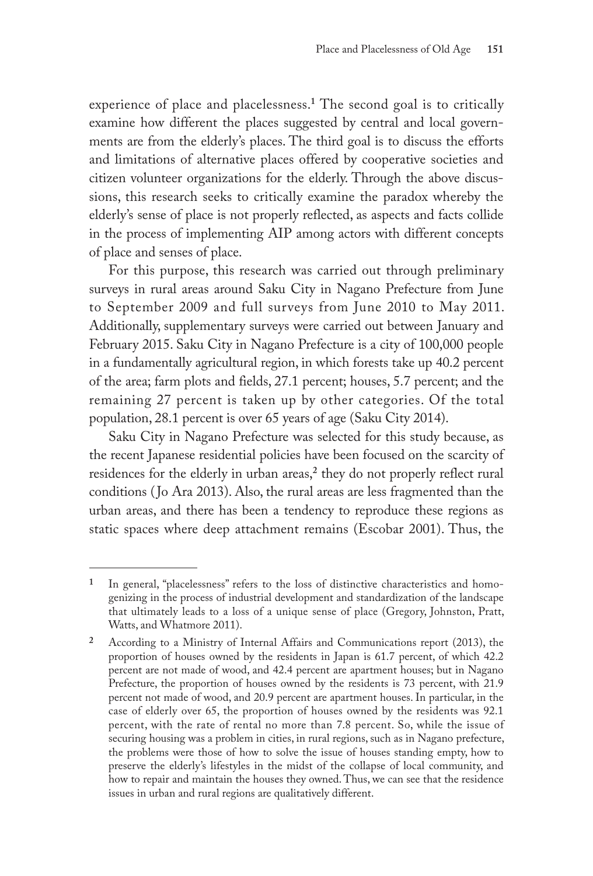experience of place and placelessness.**<sup>1</sup>** The second goal is to critically examine how different the places suggested by central and local governments are from the elderly's places. The third goal is to discuss the efforts and limitations of alternative places offered by cooperative societies and citizen volunteer organizations for the elderly. Through the above discussions, this research seeks to critically examine the paradox whereby the elderly's sense of place is not properly reflected, as aspects and facts collide in the process of implementing AIP among actors with different concepts of place and senses of place.

For this purpose, this research was carried out through preliminary surveys in rural areas around Saku City in Nagano Prefecture from June to September 2009 and full surveys from June 2010 to May 2011. Additionally, supplementary surveys were carried out between January and February 2015. Saku City in Nagano Prefecture is a city of 100,000 people in a fundamentally agricultural region, in which forests take up 40.2 percent of the area; farm plots and fields, 27.1 percent; houses, 5.7 percent; and the remaining 27 percent is taken up by other categories. Of the total population, 28.1 percent is over 65 years of age (Saku City 2014).

Saku City in Nagano Prefecture was selected for this study because, as the recent Japanese residential policies have been focused on the scarcity of residences for the elderly in urban areas,**<sup>2</sup>** they do not properly reflect rural conditions ( Jo Ara 2013). Also, the rural areas are less fragmented than the urban areas, and there has been a tendency to reproduce these regions as static spaces where deep attachment remains (Escobar 2001). Thus, the

**<sup>1</sup>** In general, "placelessness" refers to the loss of distinctive characteristics and homogenizing in the process of industrial development and standardization of the landscape that ultimately leads to a loss of a unique sense of place (Gregory, Johnston, Pratt, Watts, and Whatmore 2011).

**<sup>2</sup>** According to a Ministry of Internal Affairs and Communications report (2013), the proportion of houses owned by the residents in Japan is 61.7 percent, of which 42.2 percent are not made of wood, and 42.4 percent are apartment houses; but in Nagano Prefecture, the proportion of houses owned by the residents is 73 percent, with 21.9 percent not made of wood, and 20.9 percent are apartment houses. In particular, in the case of elderly over 65, the proportion of houses owned by the residents was 92.1 percent, with the rate of rental no more than 7.8 percent. So, while the issue of securing housing was a problem in cities, in rural regions, such as in Nagano prefecture, the problems were those of how to solve the issue of houses standing empty, how to preserve the elderly's lifestyles in the midst of the collapse of local community, and how to repair and maintain the houses they owned. Thus, we can see that the residence issues in urban and rural regions are qualitatively different.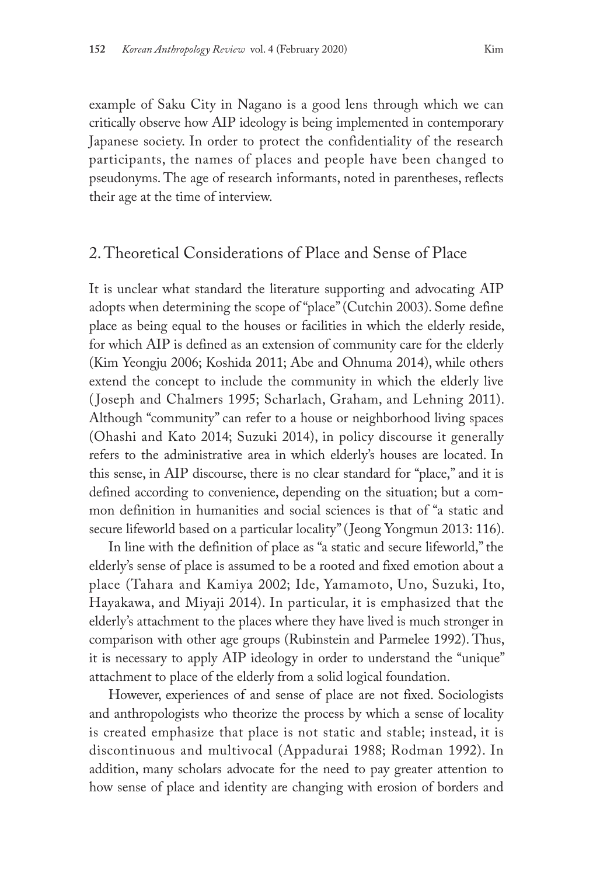example of Saku City in Nagano is a good lens through which we can critically observe how AIP ideology is being implemented in contemporary Japanese society. In order to protect the confidentiality of the research participants, the names of places and people have been changed to pseudonyms. The age of research informants, noted in parentheses, reflects their age at the time of interview.

# 2. Theoretical Considerations of Place and Sense of Place

It is unclear what standard the literature supporting and advocating AIP adopts when determining the scope of "place" (Cutchin 2003). Some define place as being equal to the houses or facilities in which the elderly reside, for which AIP is defined as an extension of community care for the elderly (Kim Yeongju 2006; Koshida 2011; Abe and Ohnuma 2014), while others extend the concept to include the community in which the elderly live ( Joseph and Chalmers 1995; Scharlach, Graham, and Lehning 2011). Although "community" can refer to a house or neighborhood living spaces (Ohashi and Kato 2014; Suzuki 2014), in policy discourse it generally refers to the administrative area in which elderly's houses are located. In this sense, in AIP discourse, there is no clear standard for "place," and it is defined according to convenience, depending on the situation; but a common definition in humanities and social sciences is that of "a static and secure lifeworld based on a particular locality" ( Jeong Yongmun 2013: 116).

In line with the definition of place as "a static and secure lifeworld," the elderly's sense of place is assumed to be a rooted and fixed emotion about a place (Tahara and Kamiya 2002; Ide, Yamamoto, Uno, Suzuki, Ito, Hayakawa, and Miyaji 2014). In particular, it is emphasized that the elderly's attachment to the places where they have lived is much stronger in comparison with other age groups (Rubinstein and Parmelee 1992). Thus, it is necessary to apply AIP ideology in order to understand the "unique" attachment to place of the elderly from a solid logical foundation.

However, experiences of and sense of place are not fixed. Sociologists and anthropologists who theorize the process by which a sense of locality is created emphasize that place is not static and stable; instead, it is discontinuous and multivocal (Appadurai 1988; Rodman 1992). In addition, many scholars advocate for the need to pay greater attention to how sense of place and identity are changing with erosion of borders and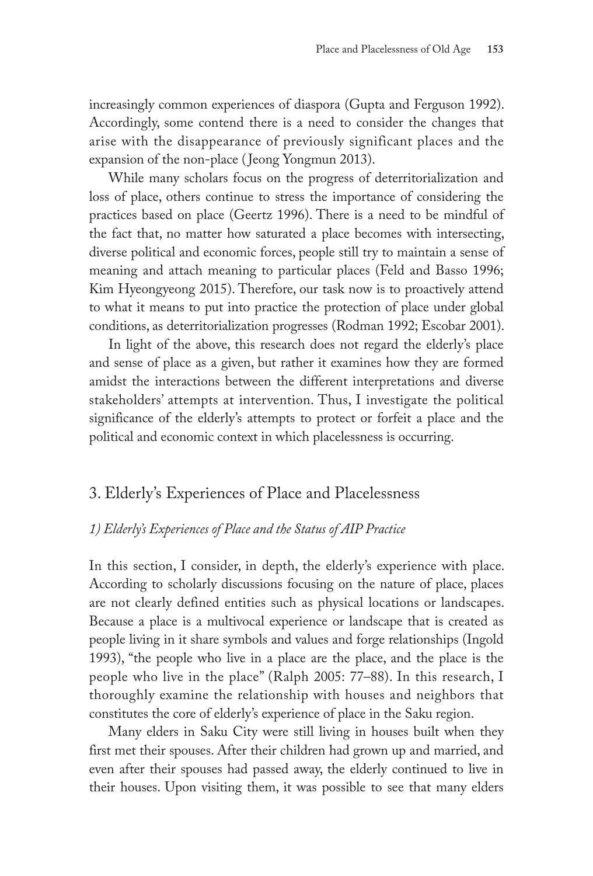increasingly common experiences of diaspora (Gupta and Ferguson 1992). Accordingly, some contend there is a need to consider the changes that arise with the disappearance of previously significant places and the expansion of the non-place (Jeong Yongmun 2013).

While many scholars focus on the progress of deterritorialization and loss of place, others continue to stress the importance of considering the practices based on place (Geertz 1996). There is a need to be mindful of the fact that, no matter how saturated a place becomes with intersecting, diverse political and economic forces, people still try to maintain a sense of meaning and attach meaning to particular places (Feld and Basso 1996; Kim Hyeongyeong 2015). Therefore, our task now is to proactively attend to what it means to put into practice the protection of place under global conditions, as deterritorialization progresses (Rodman 1992; Escobar 2001).

In light of the above, this research does not regard the elderly's place and sense of place as a given, but rather it examines how they are formed amidst the interactions between the different interpretations and diverse stakeholders' attempts at intervention. Thus, I investigate the political significance of the elderly's attempts to protect or forfeit a place and the political and economic context in which placelessness is occurring.

# 3. Elderly's Experiences of Place and Placelessness

### *1) Elderly's Experiences of Place and the Status of AIP Practice*

In this section, I consider, in depth, the elderly's experience with place. According to scholarly discussions focusing on the nature of place, places are not clearly defined entities such as physical locations or landscapes. Because a place is a multivocal experience or landscape that is created as people living in it share symbols and values and forge relationships (Ingold 1993), "the people who live in a place are the place, and the place is the people who live in the place" (Ralph 2005: 77–88). In this research, I thoroughly examine the relationship with houses and neighbors that constitutes the core of elderly's experience of place in the Saku region.

Many elders in Saku City were still living in houses built when they first met their spouses. After their children had grown up and married, and even after their spouses had passed away, the elderly continued to live in their houses. Upon visiting them, it was possible to see that many elders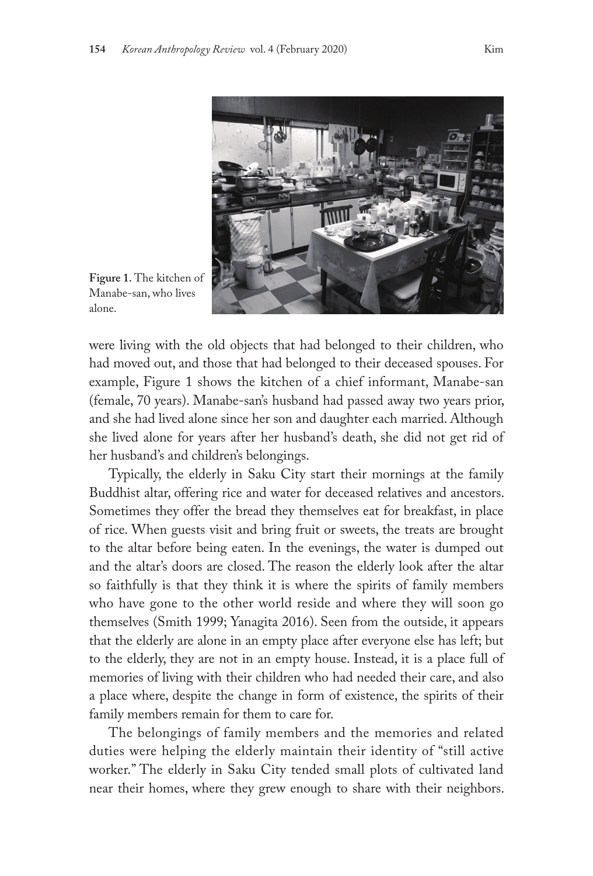

**Figure 1.** The kitchen of Manabe-san, who lives alone.

were living with the old objects that had belonged to their children, who had moved out, and those that had belonged to their deceased spouses. For example, Figure 1 shows the kitchen of a chief informant, Manabe-san (female, 70 years). Manabe-san's husband had passed away two years prior, and she had lived alone since her son and daughter each married. Although she lived alone for years after her husband's death, she did not get rid of her husband's and children's belongings.

Typically, the elderly in Saku City start their mornings at the family Buddhist altar, offering rice and water for deceased relatives and ancestors. Sometimes they offer the bread they themselves eat for breakfast, in place of rice. When guests visit and bring fruit or sweets, the treats are brought to the altar before being eaten. In the evenings, the water is dumped out and the altar's doors are closed. The reason the elderly look after the altar so faithfully is that they think it is where the spirits of family members who have gone to the other world reside and where they will soon go themselves (Smith 1999; Yanagita 2016). Seen from the outside, it appears that the elderly are alone in an empty place after everyone else has left; but to the elderly, they are not in an empty house. Instead, it is a place full of memories of living with their children who had needed their care, and also a place where, despite the change in form of existence, the spirits of their family members remain for them to care for.

The belongings of family members and the memories and related duties were helping the elderly maintain their identity of "still active worker." The elderly in Saku City tended small plots of cultivated land near their homes, where they grew enough to share with their neighbors.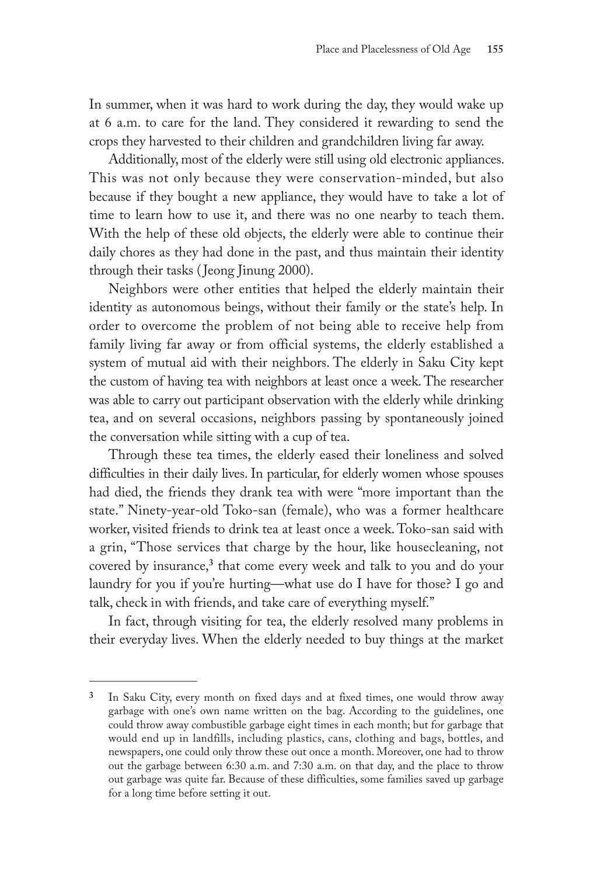In summer, when it was hard to work during the day, they would wake up at 6 a.m. to care for the land. They considered it rewarding to send the crops they harvested to their children and grandchildren living far away.

Additionally, most of the elderly were still using old electronic appliances. This was not only because they were conservation-minded, but also because if they bought a new appliance, they would have to take a lot of time to learn how to use it, and there was no one nearby to teach them. With the help of these old objects, the elderly were able to continue their daily chores as they had done in the past, and thus maintain their identity through their tasks ( Jeong Jinung 2000).

Neighbors were other entities that helped the elderly maintain their identity as autonomous beings, without their family or the state's help. In order to overcome the problem of not being able to receive help from family living far away or from official systems, the elderly established a system of mutual aid with their neighbors. The elderly in Saku City kept the custom of having tea with neighbors at least once a week. The researcher was able to carry out participant observation with the elderly while drinking tea, and on several occasions, neighbors passing by spontaneously joined the conversation while sitting with a cup of tea.

Through these tea times, the elderly eased their loneliness and solved difficulties in their daily lives. In particular, for elderly women whose spouses had died, the friends they drank tea with were "more important than the state." Ninety-year-old Toko-san (female), who was a former healthcare worker, visited friends to drink tea at least once a week. Toko-san said with a grin, "Those services that charge by the hour, like housecleaning, not covered by insurance,**<sup>3</sup>** that come every week and talk to you and do your laundry for you if you're hurting—what use do I have for those? I go and talk, check in with friends, and take care of everything myself."

In fact, through visiting for tea, the elderly resolved many problems in their everyday lives. When the elderly needed to buy things at the market

**<sup>3</sup>** In Saku City, every month on fixed days and at fixed times, one would throw away garbage with one's own name written on the bag. According to the guidelines, one could throw away combustible garbage eight times in each month; but for garbage that would end up in landfills, including plastics, cans, clothing and bags, bottles, and newspapers, one could only throw these out once a month. Moreover, one had to throw out the garbage between 6:30 a.m. and 7:30 a.m. on that day, and the place to throw out garbage was quite far. Because of these difficulties, some families saved up garbage for a long time before setting it out.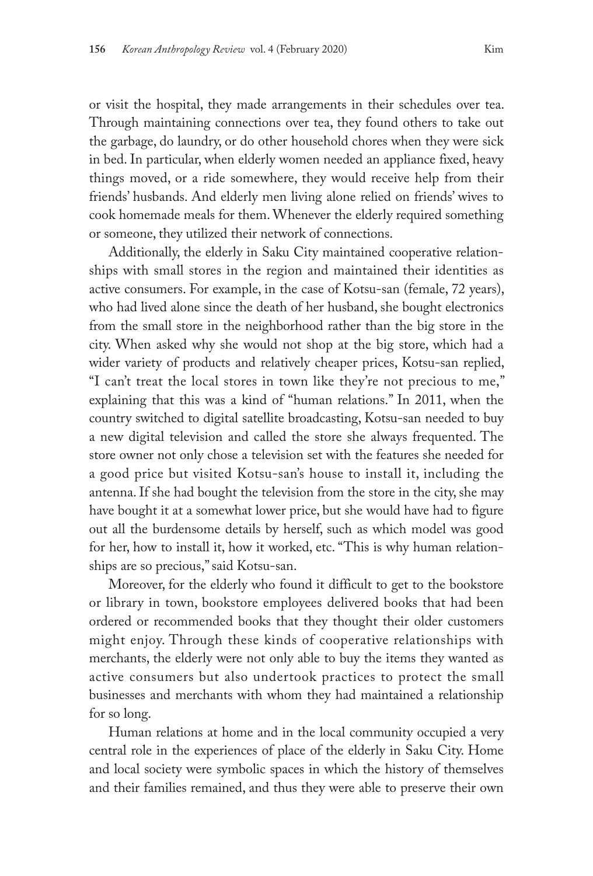or visit the hospital, they made arrangements in their schedules over tea. Through maintaining connections over tea, they found others to take out the garbage, do laundry, or do other household chores when they were sick in bed. In particular, when elderly women needed an appliance fixed, heavy things moved, or a ride somewhere, they would receive help from their friends' husbands. And elderly men living alone relied on friends' wives to cook homemade meals for them. Whenever the elderly required something or someone, they utilized their network of connections.

Additionally, the elderly in Saku City maintained cooperative relationships with small stores in the region and maintained their identities as active consumers. For example, in the case of Kotsu-san (female, 72 years), who had lived alone since the death of her husband, she bought electronics from the small store in the neighborhood rather than the big store in the city. When asked why she would not shop at the big store, which had a wider variety of products and relatively cheaper prices, Kotsu-san replied, "I can't treat the local stores in town like they're not precious to me," explaining that this was a kind of "human relations." In 2011, when the country switched to digital satellite broadcasting, Kotsu-san needed to buy a new digital television and called the store she always frequented. The store owner not only chose a television set with the features she needed for a good price but visited Kotsu-san's house to install it, including the antenna. If she had bought the television from the store in the city, she may have bought it at a somewhat lower price, but she would have had to figure out all the burdensome details by herself, such as which model was good for her, how to install it, how it worked, etc. "This is why human relationships are so precious," said Kotsu-san.

Moreover, for the elderly who found it difficult to get to the bookstore or library in town, bookstore employees delivered books that had been ordered or recommended books that they thought their older customers might enjoy. Through these kinds of cooperative relationships with merchants, the elderly were not only able to buy the items they wanted as active consumers but also undertook practices to protect the small businesses and merchants with whom they had maintained a relationship for so long.

Human relations at home and in the local community occupied a very central role in the experiences of place of the elderly in Saku City. Home and local society were symbolic spaces in which the history of themselves and their families remained, and thus they were able to preserve their own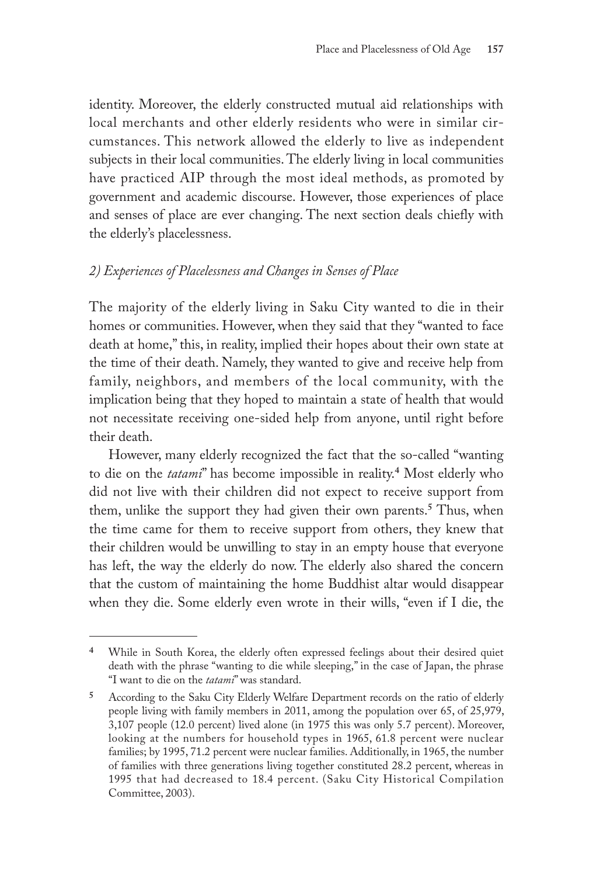identity. Moreover, the elderly constructed mutual aid relationships with local merchants and other elderly residents who were in similar circumstances. This network allowed the elderly to live as independent subjects in their local communities. The elderly living in local communities have practiced AIP through the most ideal methods, as promoted by government and academic discourse. However, those experiences of place and senses of place are ever changing. The next section deals chiefly with the elderly's placelessness.

### *2) Experiences of Placelessness and Changes in Senses of Place*

The majority of the elderly living in Saku City wanted to die in their homes or communities. However, when they said that they "wanted to face death at home," this, in reality, implied their hopes about their own state at the time of their death. Namely, they wanted to give and receive help from family, neighbors, and members of the local community, with the implication being that they hoped to maintain a state of health that would not necessitate receiving one-sided help from anyone, until right before their death.

However, many elderly recognized the fact that the so-called "wanting to die on the *tatami*" has become impossible in reality.**<sup>4</sup>** Most elderly who did not live with their children did not expect to receive support from them, unlike the support they had given their own parents.**<sup>5</sup>** Thus, when the time came for them to receive support from others, they knew that their children would be unwilling to stay in an empty house that everyone has left, the way the elderly do now. The elderly also shared the concern that the custom of maintaining the home Buddhist altar would disappear when they die. Some elderly even wrote in their wills, "even if I die, the

**<sup>4</sup>** While in South Korea, the elderly often expressed feelings about their desired quiet death with the phrase "wanting to die while sleeping," in the case of Japan, the phrase "I want to die on the *tatami*" was standard.

**<sup>5</sup>** According to the Saku City Elderly Welfare Department records on the ratio of elderly people living with family members in 2011, among the population over 65, of 25,979, 3,107 people (12.0 percent) lived alone (in 1975 this was only 5.7 percent). Moreover, looking at the numbers for household types in 1965, 61.8 percent were nuclear families; by 1995, 71.2 percent were nuclear families. Additionally, in 1965, the number of families with three generations living together constituted 28.2 percent, whereas in 1995 that had decreased to 18.4 percent. (Saku City Historical Compilation Committee, 2003).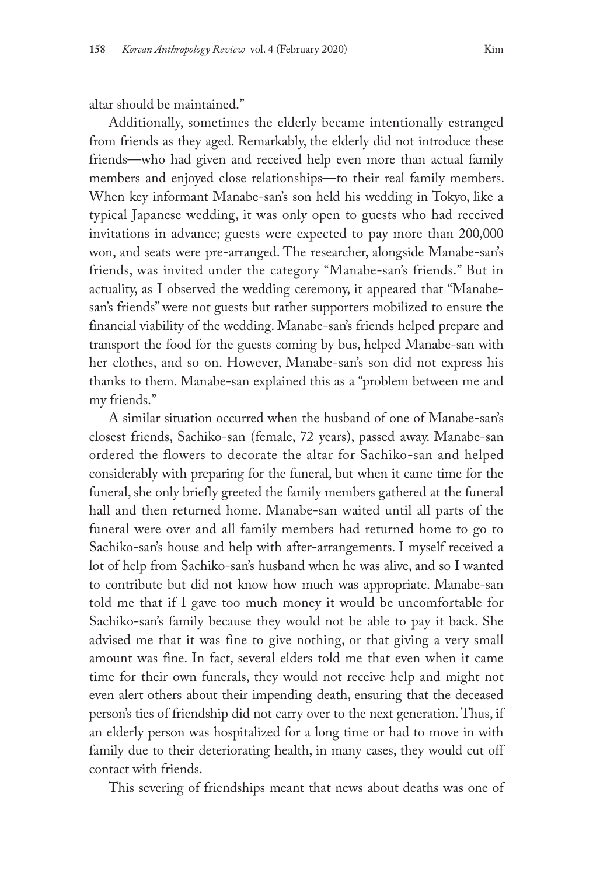altar should be maintained."

Additionally, sometimes the elderly became intentionally estranged from friends as they aged. Remarkably, the elderly did not introduce these friends—who had given and received help even more than actual family members and enjoyed close relationships—to their real family members. When key informant Manabe-san's son held his wedding in Tokyo, like a typical Japanese wedding, it was only open to guests who had received invitations in advance; guests were expected to pay more than 200,000 won, and seats were pre-arranged. The researcher, alongside Manabe-san's friends, was invited under the category "Manabe-san's friends." But in actuality, as I observed the wedding ceremony, it appeared that "Manabesan's friends" were not guests but rather supporters mobilized to ensure the financial viability of the wedding. Manabe-san's friends helped prepare and transport the food for the guests coming by bus, helped Manabe-san with her clothes, and so on. However, Manabe-san's son did not express his thanks to them. Manabe-san explained this as a "problem between me and my friends."

A similar situation occurred when the husband of one of Manabe-san's closest friends, Sachiko-san (female, 72 years), passed away. Manabe-san ordered the flowers to decorate the altar for Sachiko-san and helped considerably with preparing for the funeral, but when it came time for the funeral, she only briefly greeted the family members gathered at the funeral hall and then returned home. Manabe-san waited until all parts of the funeral were over and all family members had returned home to go to Sachiko-san's house and help with after-arrangements. I myself received a lot of help from Sachiko-san's husband when he was alive, and so I wanted to contribute but did not know how much was appropriate. Manabe-san told me that if I gave too much money it would be uncomfortable for Sachiko-san's family because they would not be able to pay it back. She advised me that it was fine to give nothing, or that giving a very small amount was fine. In fact, several elders told me that even when it came time for their own funerals, they would not receive help and might not even alert others about their impending death, ensuring that the deceased person's ties of friendship did not carry over to the next generation. Thus, if an elderly person was hospitalized for a long time or had to move in with family due to their deteriorating health, in many cases, they would cut off contact with friends.

This severing of friendships meant that news about deaths was one of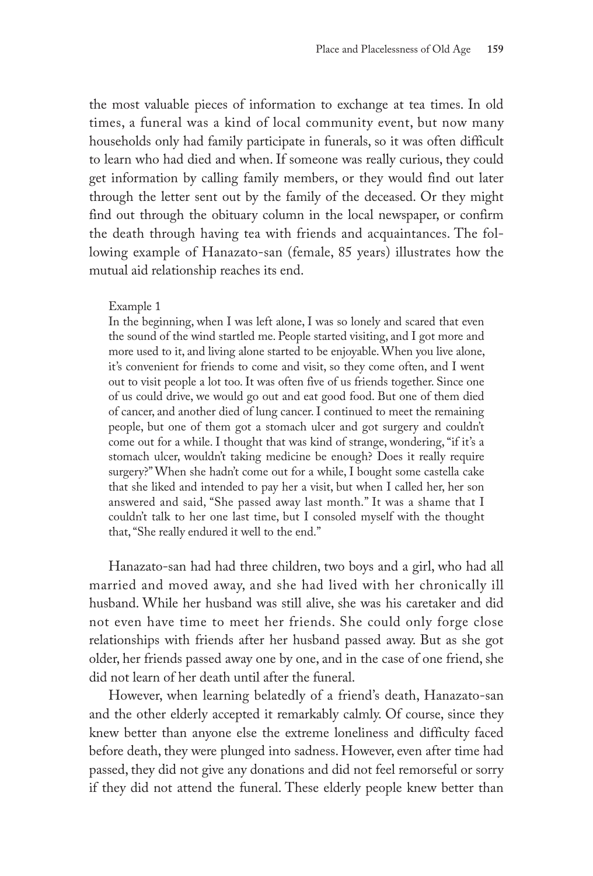the most valuable pieces of information to exchange at tea times. In old times, a funeral was a kind of local community event, but now many households only had family participate in funerals, so it was often difficult to learn who had died and when. If someone was really curious, they could get information by calling family members, or they would find out later through the letter sent out by the family of the deceased. Or they might find out through the obituary column in the local newspaper, or confirm the death through having tea with friends and acquaintances. The following example of Hanazato-san (female, 85 years) illustrates how the mutual aid relationship reaches its end.

### Example 1

In the beginning, when I was left alone, I was so lonely and scared that even the sound of the wind startled me. People started visiting, and I got more and more used to it, and living alone started to be enjoyable. When you live alone, it's convenient for friends to come and visit, so they come often, and I went out to visit people a lot too. It was often five of us friends together. Since one of us could drive, we would go out and eat good food. But one of them died of cancer, and another died of lung cancer. I continued to meet the remaining people, but one of them got a stomach ulcer and got surgery and couldn't come out for a while. I thought that was kind of strange, wondering, "if it's a stomach ulcer, wouldn't taking medicine be enough? Does it really require surgery?" When she hadn't come out for a while, I bought some castella cake that she liked and intended to pay her a visit, but when I called her, her son answered and said, "She passed away last month." It was a shame that I couldn't talk to her one last time, but I consoled myself with the thought that, "She really endured it well to the end."

Hanazato-san had had three children, two boys and a girl, who had all married and moved away, and she had lived with her chronically ill husband. While her husband was still alive, she was his caretaker and did not even have time to meet her friends. She could only forge close relationships with friends after her husband passed away. But as she got older, her friends passed away one by one, and in the case of one friend, she did not learn of her death until after the funeral.

However, when learning belatedly of a friend's death, Hanazato-san and the other elderly accepted it remarkably calmly. Of course, since they knew better than anyone else the extreme loneliness and difficulty faced before death, they were plunged into sadness. However, even after time had passed, they did not give any donations and did not feel remorseful or sorry if they did not attend the funeral. These elderly people knew better than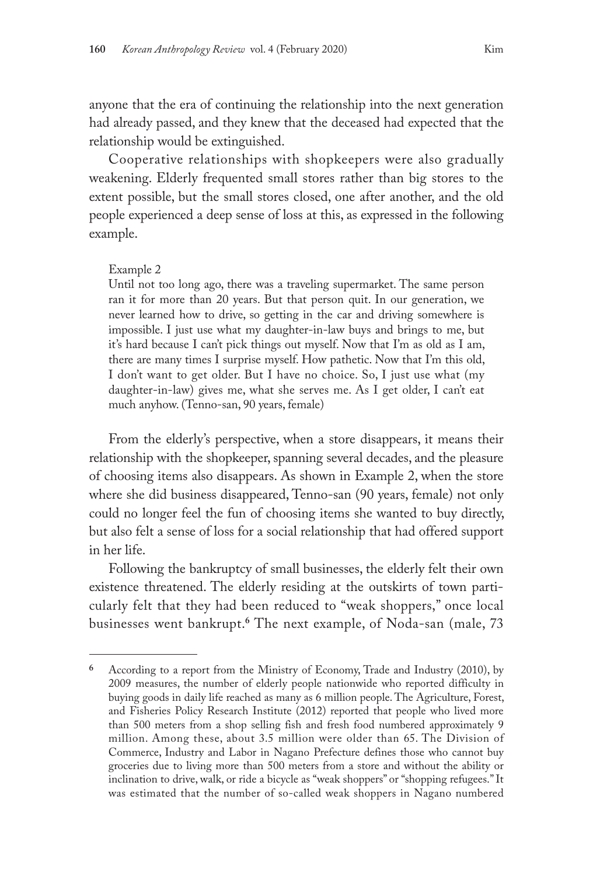anyone that the era of continuing the relationship into the next generation had already passed, and they knew that the deceased had expected that the relationship would be extinguished.

Cooperative relationships with shopkeepers were also gradually weakening. Elderly frequented small stores rather than big stores to the extent possible, but the small stores closed, one after another, and the old people experienced a deep sense of loss at this, as expressed in the following example.

#### Example 2

Until not too long ago, there was a traveling supermarket. The same person ran it for more than 20 years. But that person quit. In our generation, we never learned how to drive, so getting in the car and driving somewhere is impossible. I just use what my daughter-in-law buys and brings to me, but it's hard because I can't pick things out myself. Now that I'm as old as I am, there are many times I surprise myself. How pathetic. Now that I'm this old, I don't want to get older. But I have no choice. So, I just use what (my daughter-in-law) gives me, what she serves me. As I get older, I can't eat much anyhow. (Tenno-san, 90 years, female)

From the elderly's perspective, when a store disappears, it means their relationship with the shopkeeper, spanning several decades, and the pleasure of choosing items also disappears. As shown in Example 2, when the store where she did business disappeared, Tenno-san (90 years, female) not only could no longer feel the fun of choosing items she wanted to buy directly, but also felt a sense of loss for a social relationship that had offered support in her life.

Following the bankruptcy of small businesses, the elderly felt their own existence threatened. The elderly residing at the outskirts of town particularly felt that they had been reduced to "weak shoppers," once local businesses went bankrupt.**<sup>6</sup>** The next example, of Noda-san (male, 73

**<sup>6</sup>** According to a report from the Ministry of Economy, Trade and Industry (2010), by 2009 measures, the number of elderly people nationwide who reported difficulty in buying goods in daily life reached as many as 6 million people. The Agriculture, Forest, and Fisheries Policy Research Institute (2012) reported that people who lived more than 500 meters from a shop selling fish and fresh food numbered approximately 9 million. Among these, about 3.5 million were older than 65. The Division of Commerce, Industry and Labor in Nagano Prefecture defines those who cannot buy groceries due to living more than 500 meters from a store and without the ability or inclination to drive, walk, or ride a bicycle as "weak shoppers" or "shopping refugees." It was estimated that the number of so-called weak shoppers in Nagano numbered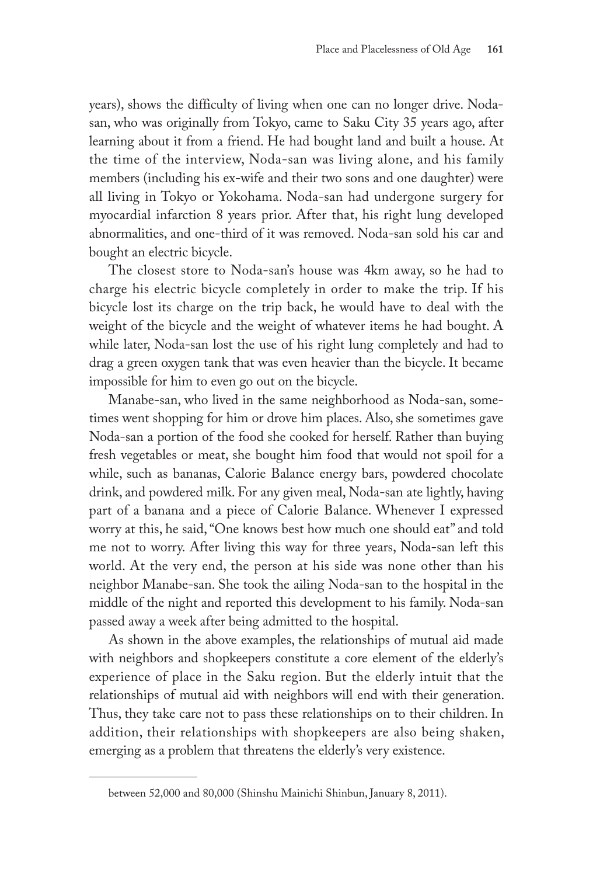years), shows the difficulty of living when one can no longer drive. Nodasan, who was originally from Tokyo, came to Saku City 35 years ago, after learning about it from a friend. He had bought land and built a house. At the time of the interview, Noda-san was living alone, and his family members (including his ex-wife and their two sons and one daughter) were all living in Tokyo or Yokohama. Noda-san had undergone surgery for myocardial infarction 8 years prior. After that, his right lung developed abnormalities, and one-third of it was removed. Noda-san sold his car and bought an electric bicycle.

The closest store to Noda-san's house was 4km away, so he had to charge his electric bicycle completely in order to make the trip. If his bicycle lost its charge on the trip back, he would have to deal with the weight of the bicycle and the weight of whatever items he had bought. A while later, Noda-san lost the use of his right lung completely and had to drag a green oxygen tank that was even heavier than the bicycle. It became impossible for him to even go out on the bicycle.

Manabe-san, who lived in the same neighborhood as Noda-san, sometimes went shopping for him or drove him places. Also, she sometimes gave Noda-san a portion of the food she cooked for herself. Rather than buying fresh vegetables or meat, she bought him food that would not spoil for a while, such as bananas, Calorie Balance energy bars, powdered chocolate drink, and powdered milk. For any given meal, Noda-san ate lightly, having part of a banana and a piece of Calorie Balance. Whenever I expressed worry at this, he said, "One knows best how much one should eat" and told me not to worry. After living this way for three years, Noda-san left this world. At the very end, the person at his side was none other than his neighbor Manabe-san. She took the ailing Noda-san to the hospital in the middle of the night and reported this development to his family. Noda-san passed away a week after being admitted to the hospital.

As shown in the above examples, the relationships of mutual aid made with neighbors and shopkeepers constitute a core element of the elderly's experience of place in the Saku region. But the elderly intuit that the relationships of mutual aid with neighbors will end with their generation. Thus, they take care not to pass these relationships on to their children. In addition, their relationships with shopkeepers are also being shaken, emerging as a problem that threatens the elderly's very existence.

between 52,000 and 80,000 (Shinshu Mainichi Shinbun, January 8, 2011).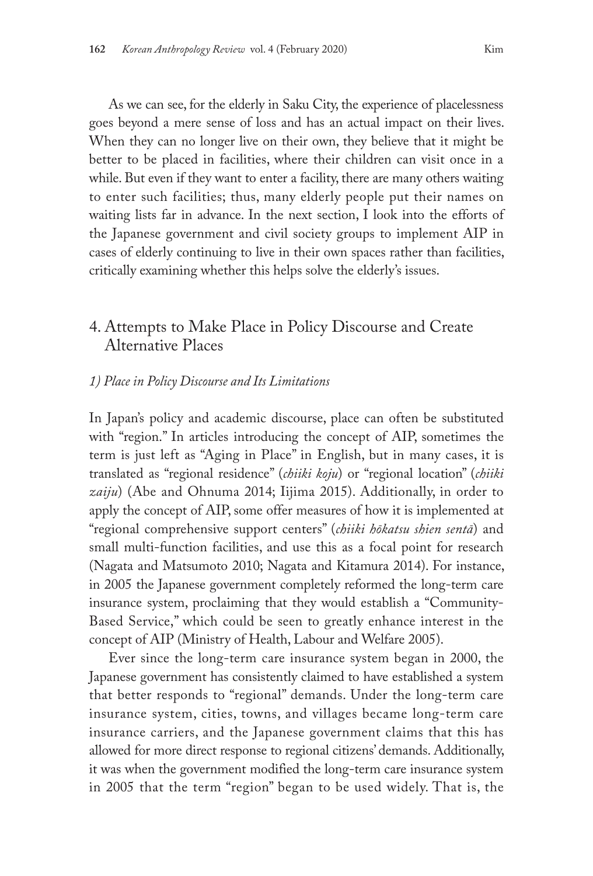As we can see, for the elderly in Saku City, the experience of placelessness goes beyond a mere sense of loss and has an actual impact on their lives. When they can no longer live on their own, they believe that it might be better to be placed in facilities, where their children can visit once in a while. But even if they want to enter a facility, there are many others waiting to enter such facilities; thus, many elderly people put their names on waiting lists far in advance. In the next section, I look into the efforts of the Japanese government and civil society groups to implement AIP in cases of elderly continuing to live in their own spaces rather than facilities, critically examining whether this helps solve the elderly's issues.

# 4. Attempts to Make Place in Policy Discourse and Create Alternative Places

### *1) Place in Policy Discourse and Its Limitations*

In Japan's policy and academic discourse, place can often be substituted with "region." In articles introducing the concept of AIP, sometimes the term is just left as "Aging in Place" in English, but in many cases, it is translated as "regional residence" (*chiiki koju*) or "regional location" (*chiiki zaiju*) (Abe and Ohnuma 2014; Iijima 2015). Additionally, in order to apply the concept of AIP, some offer measures of how it is implemented at "regional comprehensive support centers" (*chiiki hōkatsu shien sentā*) and small multi-function facilities, and use this as a focal point for research (Nagata and Matsumoto 2010; Nagata and Kitamura 2014). For instance, in 2005 the Japanese government completely reformed the long-term care insurance system, proclaiming that they would establish a "Community-Based Service," which could be seen to greatly enhance interest in the concept of AIP (Ministry of Health, Labour and Welfare 2005).

Ever since the long-term care insurance system began in 2000, the Japanese government has consistently claimed to have established a system that better responds to "regional" demands. Under the long-term care insurance system, cities, towns, and villages became long-term care insurance carriers, and the Japanese government claims that this has allowed for more direct response to regional citizens' demands. Additionally, it was when the government modified the long-term care insurance system in 2005 that the term "region" began to be used widely. That is, the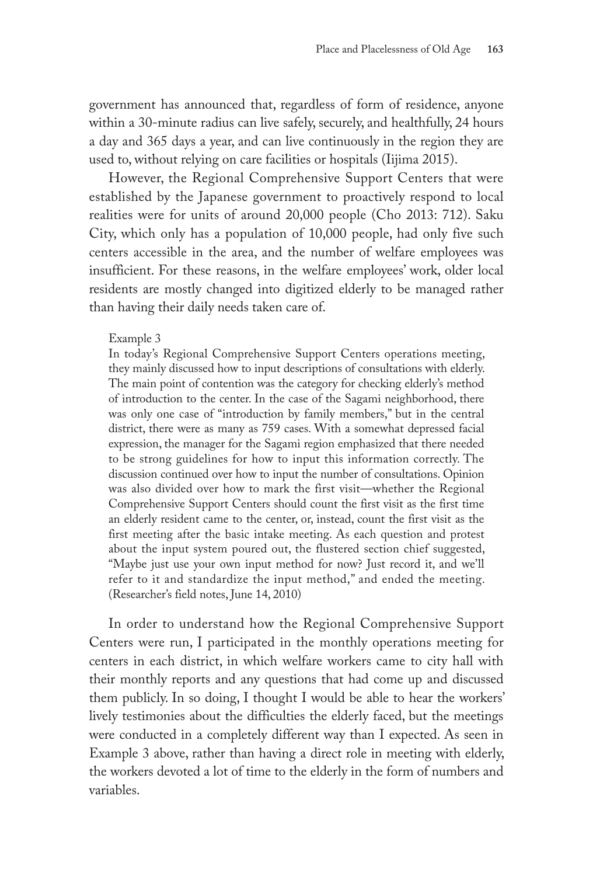government has announced that, regardless of form of residence, anyone within a 30-minute radius can live safely, securely, and healthfully, 24 hours a day and 365 days a year, and can live continuously in the region they are used to, without relying on care facilities or hospitals (Iijima 2015).

However, the Regional Comprehensive Support Centers that were established by the Japanese government to proactively respond to local realities were for units of around 20,000 people (Cho 2013: 712). Saku City, which only has a population of 10,000 people, had only five such centers accessible in the area, and the number of welfare employees was insufficient. For these reasons, in the welfare employees' work, older local residents are mostly changed into digitized elderly to be managed rather than having their daily needs taken care of.

### Example 3

In today's Regional Comprehensive Support Centers operations meeting, they mainly discussed how to input descriptions of consultations with elderly. The main point of contention was the category for checking elderly's method of introduction to the center. In the case of the Sagami neighborhood, there was only one case of "introduction by family members," but in the central district, there were as many as 759 cases. With a somewhat depressed facial expression, the manager for the Sagami region emphasized that there needed to be strong guidelines for how to input this information correctly. The discussion continued over how to input the number of consultations. Opinion was also divided over how to mark the first visit—whether the Regional Comprehensive Support Centers should count the first visit as the first time an elderly resident came to the center, or, instead, count the first visit as the first meeting after the basic intake meeting. As each question and protest about the input system poured out, the flustered section chief suggested, "Maybe just use your own input method for now? Just record it, and we'll refer to it and standardize the input method," and ended the meeting. (Researcher's field notes, June 14, 2010)

In order to understand how the Regional Comprehensive Support Centers were run, I participated in the monthly operations meeting for centers in each district, in which welfare workers came to city hall with their monthly reports and any questions that had come up and discussed them publicly. In so doing, I thought I would be able to hear the workers' lively testimonies about the difficulties the elderly faced, but the meetings were conducted in a completely different way than I expected. As seen in Example 3 above, rather than having a direct role in meeting with elderly, the workers devoted a lot of time to the elderly in the form of numbers and variables.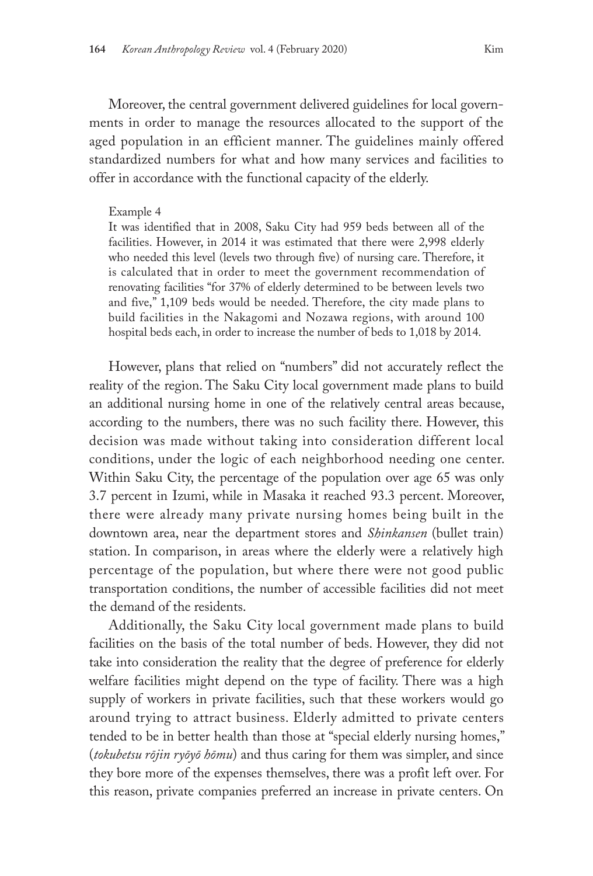Moreover, the central government delivered guidelines for local governments in order to manage the resources allocated to the support of the aged population in an efficient manner. The guidelines mainly offered standardized numbers for what and how many services and facilities to offer in accordance with the functional capacity of the elderly.

#### Example 4

It was identified that in 2008, Saku City had 959 beds between all of the facilities. However, in 2014 it was estimated that there were 2,998 elderly who needed this level (levels two through five) of nursing care. Therefore, it is calculated that in order to meet the government recommendation of renovating facilities "for 37% of elderly determined to be between levels two and five," 1,109 beds would be needed. Therefore, the city made plans to build facilities in the Nakagomi and Nozawa regions, with around 100 hospital beds each, in order to increase the number of beds to 1,018 by 2014.

However, plans that relied on "numbers" did not accurately reflect the reality of the region. The Saku City local government made plans to build an additional nursing home in one of the relatively central areas because, according to the numbers, there was no such facility there. However, this decision was made without taking into consideration different local conditions, under the logic of each neighborhood needing one center. Within Saku City, the percentage of the population over age 65 was only 3.7 percent in Izumi, while in Masaka it reached 93.3 percent. Moreover, there were already many private nursing homes being built in the downtown area, near the department stores and *Shinkansen* (bullet train) station. In comparison, in areas where the elderly were a relatively high percentage of the population, but where there were not good public transportation conditions, the number of accessible facilities did not meet the demand of the residents.

Additionally, the Saku City local government made plans to build facilities on the basis of the total number of beds. However, they did not take into consideration the reality that the degree of preference for elderly welfare facilities might depend on the type of facility. There was a high supply of workers in private facilities, such that these workers would go around trying to attract business. Elderly admitted to private centers tended to be in better health than those at "special elderly nursing homes," (*tokubetsu rōjin ryōyō hōmu*) and thus caring for them was simpler, and since they bore more of the expenses themselves, there was a profit left over. For this reason, private companies preferred an increase in private centers. On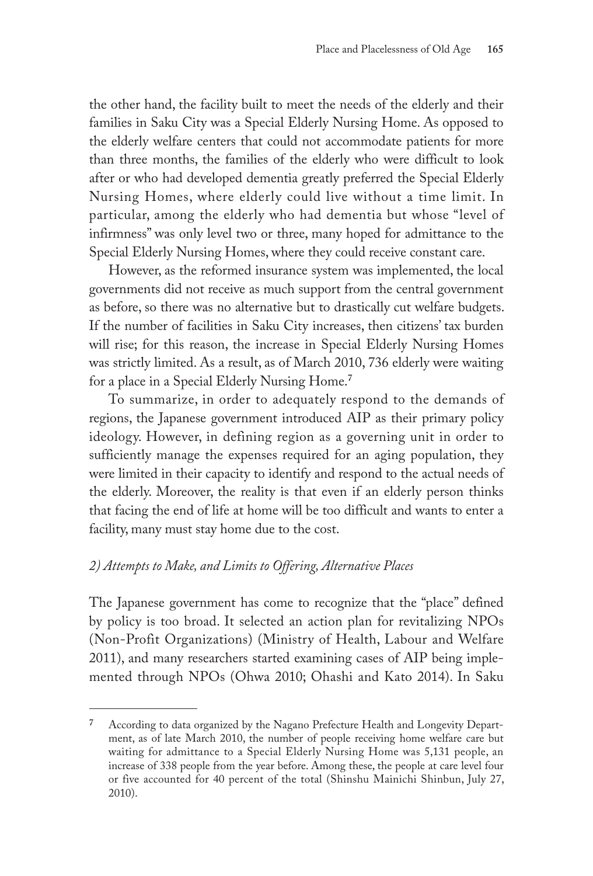the other hand, the facility built to meet the needs of the elderly and their families in Saku City was a Special Elderly Nursing Home. As opposed to the elderly welfare centers that could not accommodate patients for more than three months, the families of the elderly who were difficult to look after or who had developed dementia greatly preferred the Special Elderly Nursing Homes, where elderly could live without a time limit. In particular, among the elderly who had dementia but whose "level of infirmness" was only level two or three, many hoped for admittance to the Special Elderly Nursing Homes, where they could receive constant care.

However, as the reformed insurance system was implemented, the local governments did not receive as much support from the central government as before, so there was no alternative but to drastically cut welfare budgets. If the number of facilities in Saku City increases, then citizens' tax burden will rise; for this reason, the increase in Special Elderly Nursing Homes was strictly limited. As a result, as of March 2010, 736 elderly were waiting for a place in a Special Elderly Nursing Home.**<sup>7</sup>**

To summarize, in order to adequately respond to the demands of regions, the Japanese government introduced AIP as their primary policy ideology. However, in defining region as a governing unit in order to sufficiently manage the expenses required for an aging population, they were limited in their capacity to identify and respond to the actual needs of the elderly. Moreover, the reality is that even if an elderly person thinks that facing the end of life at home will be too difficult and wants to enter a facility, many must stay home due to the cost.

## *2) Attempts to Make, and Limits to Offering, Alternative Places*

The Japanese government has come to recognize that the "place" defined by policy is too broad. It selected an action plan for revitalizing NPOs (Non-Profit Organizations) (Ministry of Health, Labour and Welfare 2011), and many researchers started examining cases of AIP being implemented through NPOs (Ohwa 2010; Ohashi and Kato 2014). In Saku

**<sup>7</sup>** According to data organized by the Nagano Prefecture Health and Longevity Department, as of late March 2010, the number of people receiving home welfare care but waiting for admittance to a Special Elderly Nursing Home was 5,131 people, an increase of 338 people from the year before. Among these, the people at care level four or five accounted for 40 percent of the total (Shinshu Mainichi Shinbun, July 27, 2010).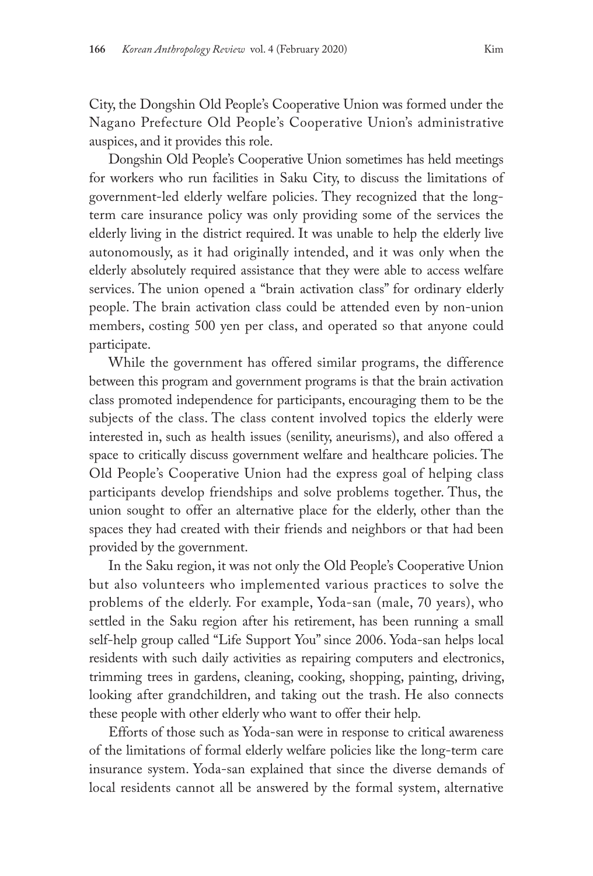City, the Dongshin Old People's Cooperative Union was formed under the Nagano Prefecture Old People's Cooperative Union's administrative auspices, and it provides this role.

Dongshin Old People's Cooperative Union sometimes has held meetings for workers who run facilities in Saku City, to discuss the limitations of government-led elderly welfare policies. They recognized that the longterm care insurance policy was only providing some of the services the elderly living in the district required. It was unable to help the elderly live autonomously, as it had originally intended, and it was only when the elderly absolutely required assistance that they were able to access welfare services. The union opened a "brain activation class" for ordinary elderly people. The brain activation class could be attended even by non-union members, costing 500 yen per class, and operated so that anyone could participate.

While the government has offered similar programs, the difference between this program and government programs is that the brain activation class promoted independence for participants, encouraging them to be the subjects of the class. The class content involved topics the elderly were interested in, such as health issues (senility, aneurisms), and also offered a space to critically discuss government welfare and healthcare policies. The Old People's Cooperative Union had the express goal of helping class participants develop friendships and solve problems together. Thus, the union sought to offer an alternative place for the elderly, other than the spaces they had created with their friends and neighbors or that had been provided by the government.

In the Saku region, it was not only the Old People's Cooperative Union but also volunteers who implemented various practices to solve the problems of the elderly. For example, Yoda-san (male, 70 years), who settled in the Saku region after his retirement, has been running a small self-help group called "Life Support You" since 2006. Yoda-san helps local residents with such daily activities as repairing computers and electronics, trimming trees in gardens, cleaning, cooking, shopping, painting, driving, looking after grandchildren, and taking out the trash. He also connects these people with other elderly who want to offer their help.

Efforts of those such as Yoda-san were in response to critical awareness of the limitations of formal elderly welfare policies like the long-term care insurance system. Yoda-san explained that since the diverse demands of local residents cannot all be answered by the formal system, alternative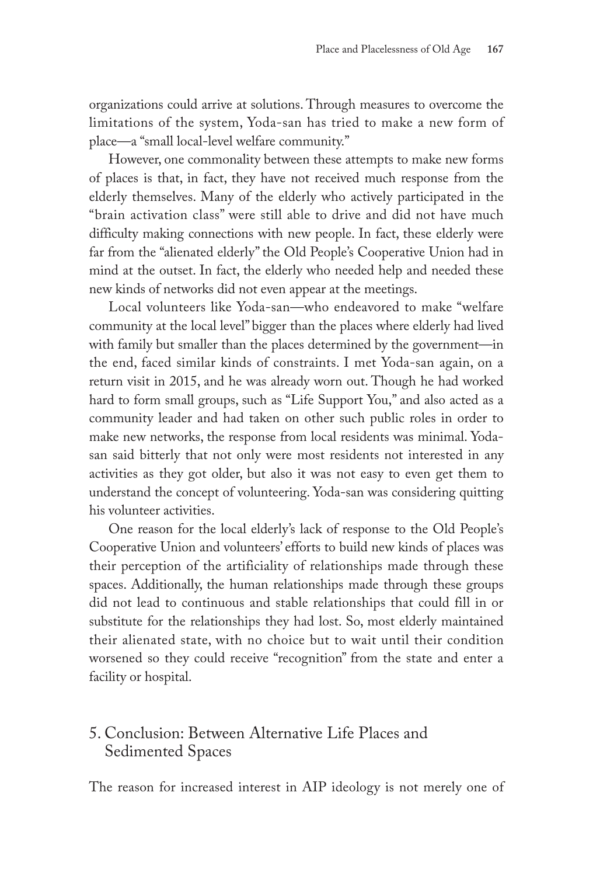organizations could arrive at solutions. Through measures to overcome the limitations of the system, Yoda-san has tried to make a new form of place—a "small local-level welfare community."

However, one commonality between these attempts to make new forms of places is that, in fact, they have not received much response from the elderly themselves. Many of the elderly who actively participated in the "brain activation class" were still able to drive and did not have much difficulty making connections with new people. In fact, these elderly were far from the "alienated elderly" the Old People's Cooperative Union had in mind at the outset. In fact, the elderly who needed help and needed these new kinds of networks did not even appear at the meetings.

Local volunteers like Yoda-san—who endeavored to make "welfare community at the local level" bigger than the places where elderly had lived with family but smaller than the places determined by the government—in the end, faced similar kinds of constraints. I met Yoda-san again, on a return visit in 2015, and he was already worn out. Though he had worked hard to form small groups, such as "Life Support You," and also acted as a community leader and had taken on other such public roles in order to make new networks, the response from local residents was minimal. Yodasan said bitterly that not only were most residents not interested in any activities as they got older, but also it was not easy to even get them to understand the concept of volunteering. Yoda-san was considering quitting his volunteer activities.

One reason for the local elderly's lack of response to the Old People's Cooperative Union and volunteers' efforts to build new kinds of places was their perception of the artificiality of relationships made through these spaces. Additionally, the human relationships made through these groups did not lead to continuous and stable relationships that could fill in or substitute for the relationships they had lost. So, most elderly maintained their alienated state, with no choice but to wait until their condition worsened so they could receive "recognition" from the state and enter a facility or hospital.

# 5. Conclusion: Between Alternative Life Places and Sedimented Spaces

The reason for increased interest in AIP ideology is not merely one of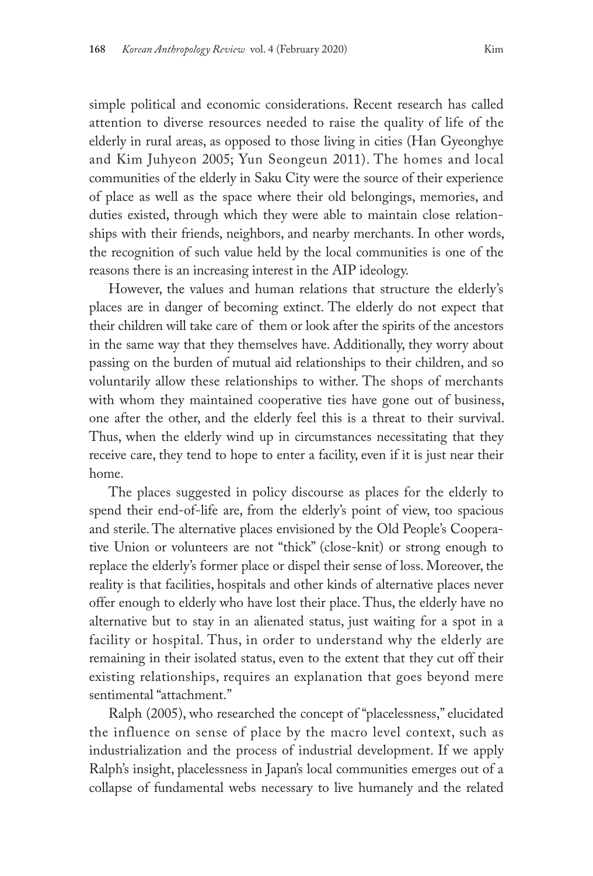simple political and economic considerations. Recent research has called attention to diverse resources needed to raise the quality of life of the elderly in rural areas, as opposed to those living in cities (Han Gyeonghye and Kim Juhyeon 2005; Yun Seongeun 2011). The homes and local communities of the elderly in Saku City were the source of their experience of place as well as the space where their old belongings, memories, and duties existed, through which they were able to maintain close relationships with their friends, neighbors, and nearby merchants. In other words, the recognition of such value held by the local communities is one of the reasons there is an increasing interest in the AIP ideology.

However, the values and human relations that structure the elderly's places are in danger of becoming extinct. The elderly do not expect that their children will take care of them or look after the spirits of the ancestors in the same way that they themselves have. Additionally, they worry about passing on the burden of mutual aid relationships to their children, and so voluntarily allow these relationships to wither. The shops of merchants with whom they maintained cooperative ties have gone out of business, one after the other, and the elderly feel this is a threat to their survival. Thus, when the elderly wind up in circumstances necessitating that they receive care, they tend to hope to enter a facility, even if it is just near their home.

The places suggested in policy discourse as places for the elderly to spend their end-of-life are, from the elderly's point of view, too spacious and sterile. The alternative places envisioned by the Old People's Cooperative Union or volunteers are not "thick" (close-knit) or strong enough to replace the elderly's former place or dispel their sense of loss. Moreover, the reality is that facilities, hospitals and other kinds of alternative places never offer enough to elderly who have lost their place. Thus, the elderly have no alternative but to stay in an alienated status, just waiting for a spot in a facility or hospital. Thus, in order to understand why the elderly are remaining in their isolated status, even to the extent that they cut off their existing relationships, requires an explanation that goes beyond mere sentimental "attachment."

Ralph (2005), who researched the concept of "placelessness," elucidated the influence on sense of place by the macro level context, such as industrialization and the process of industrial development. If we apply Ralph's insight, placelessness in Japan's local communities emerges out of a collapse of fundamental webs necessary to live humanely and the related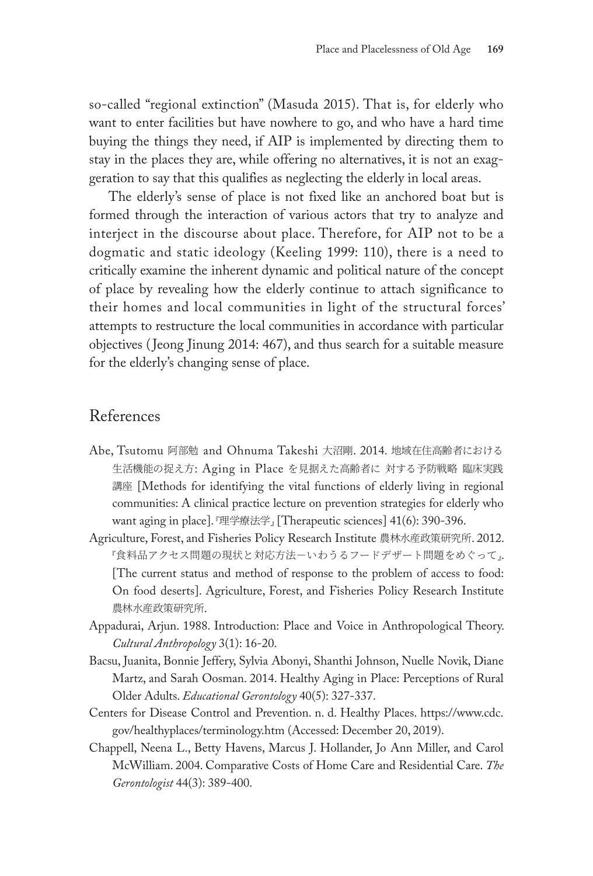so-called "regional extinction" (Masuda 2015). That is, for elderly who want to enter facilities but have nowhere to go, and who have a hard time buying the things they need, if AIP is implemented by directing them to stay in the places they are, while offering no alternatives, it is not an exaggeration to say that this qualifies as neglecting the elderly in local areas.

The elderly's sense of place is not fixed like an anchored boat but is formed through the interaction of various actors that try to analyze and interject in the discourse about place. Therefore, for AIP not to be a dogmatic and static ideology (Keeling 1999: 110), there is a need to critically examine the inherent dynamic and political nature of the concept of place by revealing how the elderly continue to attach significance to their homes and local communities in light of the structural forces' attempts to restructure the local communities in accordance with particular objectives (Jeong Jinung 2014: 467), and thus search for a suitable measure for the elderly's changing sense of place.

## References

- Abe, Tsutomu 阿部勉 and Ohnuma Takeshi 大沼剛. 2014. 地域在住高齢者における 生活機能の捉え方: Aging in Place を見据えた高齢者に 対する予防戦略 臨床実践 講座 [Methods for identifying the vital functions of elderly living in regional communities: A clinical practice lecture on prevention strategies for elderly who want aging in place]. 『理学療法学』 [Therapeutic sciences] 41(6): 390-396.
- Agriculture, Forest, and Fisheries Policy Research Institute 農林水産政策研究所. 2012. 『食料品アクセス問題の現状と対応方法-いわうるフードデザート問題をめぐって」. [The current status and method of response to the problem of access to food: On food deserts]. Agriculture, Forest, and Fisheries Policy Research Institute 農林水産政策研究所.
- Appadurai, Arjun. 1988. Introduction: Place and Voice in Anthropological Theory. *Cultural Anthropology* 3(1): 16-20.
- Bacsu, Juanita, Bonnie Jeffery, Sylvia Abonyi, Shanthi Johnson, Nuelle Novik, Diane Martz, and Sarah Oosman. 2014. Healthy Aging in Place: Perceptions of Rural Older Adults. *Educational Gerontology* 40(5): 327-337.
- Centers for Disease Control and Prevention. n. d. Healthy Places. https://www.cdc. gov/healthyplaces/terminology.htm (Accessed: December 20, 2019).
- Chappell, Neena L., Betty Havens, Marcus J. Hollander, Jo Ann Miller, and Carol McWilliam. 2004. Comparative Costs of Home Care and Residential Care. *The Gerontologist* 44(3): 389-400.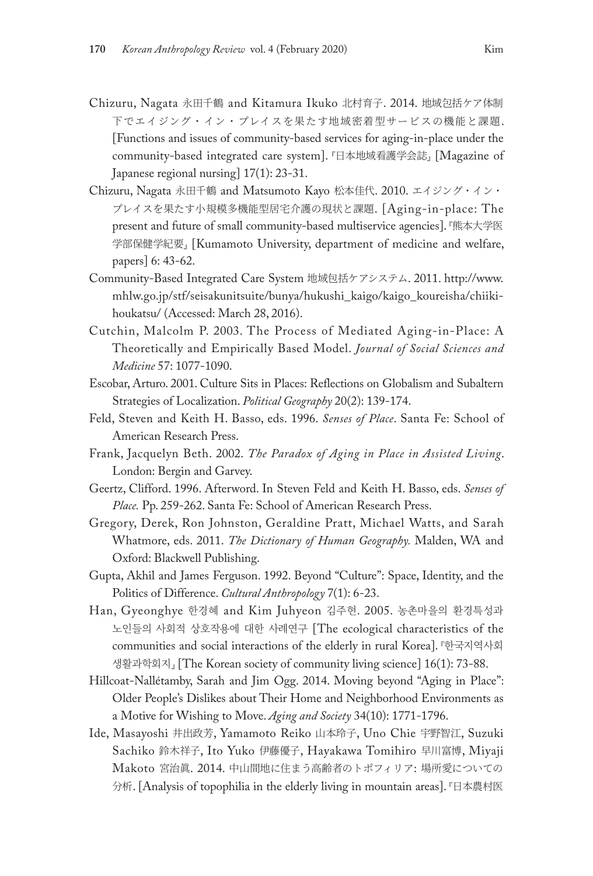- Chizuru, Nagata 永田千鶴 and Kitamura Ikuko 北村育子. 2014. 地域包括ケア体制 下でエイジング・イン・プレイスを果たす地域密着型サービスの機能と課題. [Functions and issues of community-based services for aging-in-place under the community-based integrated care system]. 『日本地域看護学会誌』 [Magazine of Japanese regional nursing] 17(1): 23-31.
- Chizuru, Nagata 永田千鶴 and Matsumoto Kayo 松本佳代. 2010. エイジング・イン・ プレイスを果たす小規模多機能型居宅介護の現状と課題. [Aging-in-place: The present and future of small community-based multiservice agencies]. 『熊本大学医 学部保健学紀要』 [Kumamoto University, department of medicine and welfare, papers] 6: 43-62.
- Community-Based Integrated Care System 地域包括ケアシステム. 2011. http://www. mhlw.go.jp/stf/seisakunitsuite/bunya/hukushi\_kaigo/kaigo\_koureisha/chiikihoukatsu/ (Accessed: March 28, 2016).
- Cutchin, Malcolm P. 2003. The Process of Mediated Aging-in-Place: A Theoretically and Empirically Based Model. *Journal of Social Sciences and Medicine* 57: 1077-1090.
- Escobar, Arturo. 2001. Culture Sits in Places: Reflections on Globalism and Subaltern Strategies of Localization. *Political Geography* 20(2): 139-174.
- Feld, Steven and Keith H. Basso, eds. 1996. *Senses of Place*. Santa Fe: School of American Research Press.
- Frank, Jacquelyn Beth. 2002. *The Paradox of Aging in Place in Assisted Living*. London: Bergin and Garvey.
- Geertz, Clifford. 1996. Afterword. In Steven Feld and Keith H. Basso, eds. *Senses of Place.* Pp. 259-262. Santa Fe: School of American Research Press.
- Gregory, Derek, Ron Johnston, Geraldine Pratt, Michael Watts, and Sarah Whatmore, eds. 2011. *The Dictionary of Human Geography.* Malden, WA and Oxford: Blackwell Publishing.
- Gupta, Akhil and James Ferguson. 1992. Beyond "Culture": Space, Identity, and the Politics of Difference. *Cultural Anthropology* 7(1): 6-23.
- Han, Gyeonghye 한경혜 and Kim Juhyeon 김주현. 2005. 농촌마을의 환경특성과 노인들의 사회적 상호작용에 대한 사례연구 [The ecological characteristics of the communities and social interactions of the elderly in rural Korea]. 『한국지역사회 생활과학회지』 [The Korean society of community living science] 16(1): 73-88.
- Hillcoat-Nallétamby, Sarah and Jim Ogg. 2014. Moving beyond "Aging in Place": Older People's Dislikes about Their Home and Neighborhood Environments as a Motive for Wishing to Move. *Aging and Society* 34(10): 1771-1796.
- Ide, Masayoshi 井出政芳, Yamamoto Reiko 山本玲子, Uno Chie 宇野智江, Suzuki Sachiko 鈴木祥子, Ito Yuko 伊藤優子, Hayakawa Tomihiro 早川富博, Miyaji Makoto 宮治眞. 2014. 中山間地に住まう高齢者のトポフィリア: 場所愛についての 分析. [Analysis of topophilia in the elderly living in mountain areas]. 『日本農村医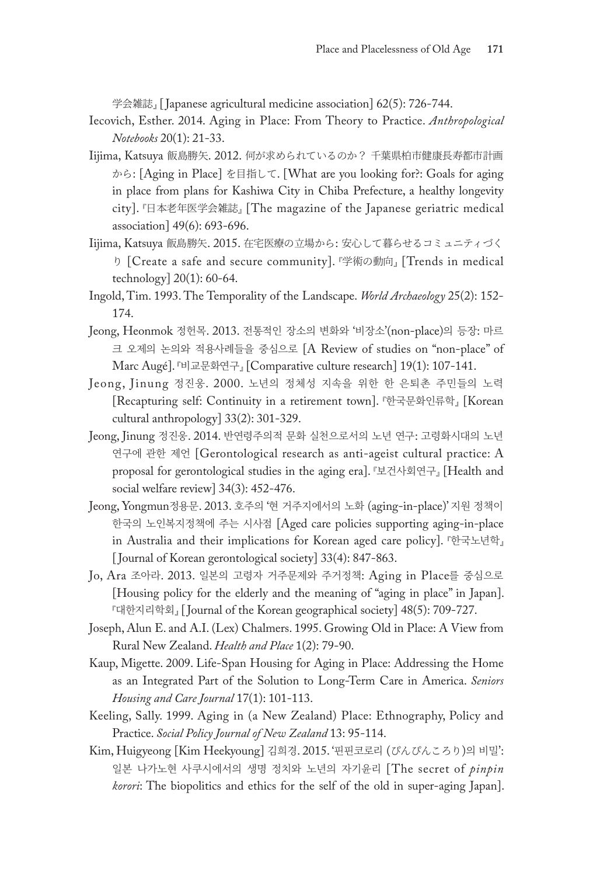学会雑誌』 [Japanese agricultural medicine association] 62(5): 726-744.

- Iecovich, Esther. 2014. Aging in Place: From Theory to Practice. *Anthropological Notebooks* 20(1): 21-33.
- Iijima, Katsuya 飯島勝矢. 2012. 何が求められているのか? 千葉県柏市健康長寿都市計画 から: [Aging in Place] を目指して. [What are you looking for?: Goals for aging in place from plans for Kashiwa City in Chiba Prefecture, a healthy longevity city]. 『日本老年医学会雑誌』 [The magazine of the Japanese geriatric medical association] 49(6): 693-696.
- Iijima, Katsuya 飯島勝矢. 2015. 在宅医療の立場から: 安心して暮らせるコミュニティづく り [Create a safe and secure community]. 『学術の動向』 [Trends in medical technology] 20(1): 60-64.
- Ingold, Tim. 1993. The Temporality of the Landscape. *World Archaeology* 25(2): 152- 174.
- Jeong, Heonmok 정헌목. 2013. 전통적인 장소의 변화와 '비장소'(non-place)의 등장: 마르 크 오제의 논의와 적용사례들을 중심으로 [A Review of studies on "non-place" of Marc Augé]. 『비교문화연구』 [Comparative culture research] 19(1): 107-141.
- Jeong, Jinung 정진웅. 2000. 노년의 정체성 지속을 위한 한 은퇴촌 주민들의 노력 [Recapturing self: Continuity in a retirement town]. 『한국문화인류학』 [Korean cultural anthropology] 33(2): 301-329.
- Jeong, Jinung 정진웅. 2014. 반연령주의적 문화 실천으로서의 노년 연구: 고령화시대의 노년 연구에 관한 제언 [Gerontological research as anti-ageist cultural practice: A proposal for gerontological studies in the aging era]. 『보건사회연구』 [Health and social welfare review] 34(3): 452-476.
- Jeong, Yongmun정용문. 2013. 호주의 '현 거주지에서의 노화 (aging-in-place)' 지원 정책이 한국의 노인복지정책에 주는 시사점 [Aged care policies supporting aging-in-place in Australia and their implications for Korean aged care policy]. 『한국노년학』 [ Journal of Korean gerontological society] 33(4): 847-863.
- Jo, Ara 조아라. 2013. 일본의 고령자 거주문제와 주거정책: Aging in Place를 중심으로 [Housing policy for the elderly and the meaning of "aging in place" in Japan]. 『대한지리학회』 [ Journal of the Korean geographical society] 48(5): 709-727.
- Joseph, Alun E. and A.I. (Lex) Chalmers. 1995. Growing Old in Place: A View from Rural New Zealand. *Health and Place* 1(2): 79-90.
- Kaup, Migette. 2009. Life-Span Housing for Aging in Place: Addressing the Home as an Integrated Part of the Solution to Long-Term Care in America. *Seniors Housing and Care Journal* 17(1): 101-113.
- Keeling, Sally. 1999. Aging in (a New Zealand) Place: Ethnography, Policy and Practice. *Social Policy Journal of New Zealand* 13: 95-114.
- Kim, Huigyeong [Kim Heekyoung] 김희경. 2015. '핀핀코로리 (ぴんぴんころり)의 비밀': 일본 나가노현 사쿠시에서의 생명 정치와 노년의 자기윤리 [The secret of *pinpin korori*: The biopolitics and ethics for the self of the old in super-aging Japan].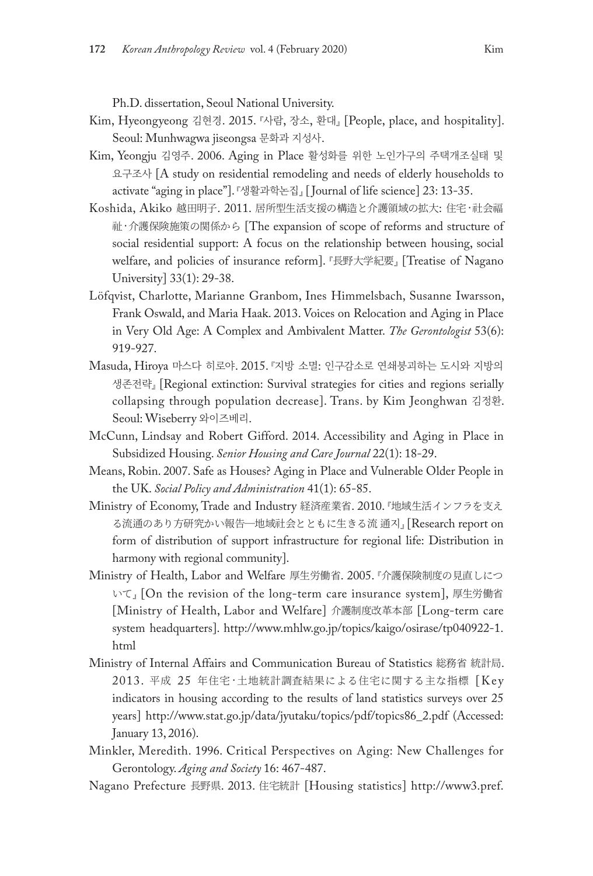Ph.D. dissertation, Seoul National University.

- Kim, Hyeongyeong 김현경. 2015. 『사람, 장소, 환대』 [People, place, and hospitality]. Seoul: Munhwagwa jiseongsa 문화과 지성사.
- Kim, Yeongju 김영주. 2006. Aging in Place 활성화를 위한 노인가구의 주택개조실태 및 요구조사 [A study on residential remodeling and needs of elderly households to activate "aging in place"]. 『생활과학논집』 [ Journal of life science] 23: 13-35.
- Koshida, Akiko 越田明子. 2011. 居所型生活支援の構造と介護領域の拡大: 住宅·社会福 祉·介護保険施策の関係から [The expansion of scope of reforms and structure of social residential support: A focus on the relationship between housing, social welfare, and policies of insurance reform]. 『長野大学紀要』 [Treatise of Nagano University] 33(1): 29-38.
- Löfqvist, Charlotte, Marianne Granbom, Ines Himmelsbach, Susanne Iwarsson, Frank Oswald, and Maria Haak. 2013. Voices on Relocation and Aging in Place in Very Old Age: A Complex and Ambivalent Matter. *The Gerontologist* 53(6): 919-927.
- Masuda, Hiroya 마스다 히로야. 2015. 『지방 소멸: 인구감소로 연쇄붕괴하는 도시와 지방의 생존전략』 [Regional extinction: Survival strategies for cities and regions serially collapsing through population decrease]. Trans. by Kim Jeonghwan 김정환. Seoul: Wiseberry 와이즈베리.
- McCunn, Lindsay and Robert Gifford. 2014. Accessibility and Aging in Place in Subsidized Housing. *Senior Housing and Care Journal* 22(1): 18-29.
- Means, Robin. 2007. Safe as Houses? Aging in Place and Vulnerable Older People in the UK. *Social Policy and Administration* 41(1): 65-85.
- Ministry of Economy, Trade and Industry 経済産業省. 2010. 『地域生活インフラを支え る流通のあり方研究かい報告―地域社会とともに生きる流 通지』 [Research report on form of distribution of support infrastructure for regional life: Distribution in harmony with regional community].
- Ministry of Health, Labor and Welfare 厚生労働省. 2005. 『介護保険制度の見直しにつ いて』 [On the revision of the long-term care insurance system], 厚生労働省 [Ministry of Health, Labor and Welfare] 介護制度改革本部 [Long-term care system headquarters]. http://www.mhlw.go.jp/topics/kaigo/osirase/tp040922-1. html
- Ministry of Internal Affairs and Communication Bureau of Statistics 総務省 統計局. 2013. 平成 25 年住宅 ·土地統計調査結果による住宅に関する主な指標 [Key indicators in housing according to the results of land statistics surveys over 25 years] http://www.stat.go.jp/data/jyutaku/topics/pdf/topics86\_2.pdf (Accessed: January 13, 2016).
- Minkler, Meredith. 1996. Critical Perspectives on Aging: New Challenges for Gerontology. *Aging and Society* 16: 467-487.
- Nagano Prefecture 長野県. 2013. 住宅統計 [Housing statistics] http://www3.pref.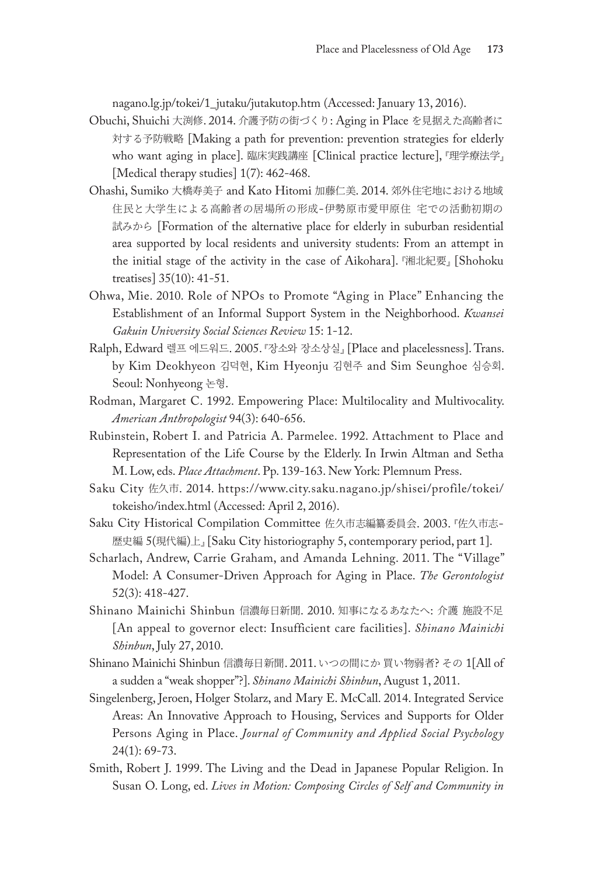nagano.lg.jp/tokei/1\_jutaku/jutakutop.htm (Accessed: January 13, 2016).

- Obuchi, Shuichi 大渕修. 2014. 介護予防の街づくり: Aging in Place を見据えた高齢者に 対する予防戦略 [Making a path for prevention: prevention strategies for elderly who want aging in place]. 臨床実践講座 [Clinical practice lecture], 『理学療法学』 [Medical therapy studies]  $1(7)$ : 462-468.
- Ohashi, Sumiko 大橋寿美子 and Kato Hitomi 加藤仁美. 2014. 郊外住宅地における地域 住民と大学生による高齢者の居場所の形成-伊勢原市愛甲原住 宅での活動初期の 試みから [Formation of the alternative place for elderly in suburban residential area supported by local residents and university students: From an attempt in the initial stage of the activity in the case of Aikohara]. 『湘北紀要』 [Shohoku treatises] 35(10): 41-51.
- Ohwa, Mie. 2010. Role of NPOs to Promote "Aging in Place" Enhancing the Establishment of an Informal Support System in the Neighborhood. *Kwansei Gakuin University Social Sciences Review* 15: 1-12.
- Ralph, Edward 렐프 에드워드. 2005. 『장소와 장소상실』 [Place and placelessness]. Trans. by Kim Deokhyeon 김덕현, Kim Hyeonju 김현주 and Sim Seunghoe 심승회. Seoul: Nonhyeong 논형.
- Rodman, Margaret C. 1992. Empowering Place: Multilocality and Multivocality. *American Anthropologist* 94(3): 640-656.
- Rubinstein, Robert I. and Patricia A. Parmelee. 1992. Attachment to Place and Representation of the Life Course by the Elderly. In Irwin Altman and Setha M. Low, eds. *Place Attachment*. Pp. 139-163. New York: Plemnum Press.
- Saku City 佐久市. 2014. https://www.city.saku.nagano.jp/shisei/profile/tokei/ tokeisho/index.html (Accessed: April 2, 2016).
- Saku City Historical Compilation Committee 佐久市志編纂委員会. 2003. 『佐久市志-歴史編 5(現代編)上』 [Saku City historiography 5, contemporary period, part 1].
- Scharlach, Andrew, Carrie Graham, and Amanda Lehning. 2011. The "Village" Model: A Consumer-Driven Approach for Aging in Place. *The Gerontologist*  52(3): 418-427.
- Shinano Mainichi Shinbun 信濃毎日新聞. 2010. 知事になるあなたへ: 介護 施設不足 [An appeal to governor elect: Insufficient care facilities]. *Shinano Mainichi Shinbun*, July 27, 2010.
- Shinano Mainichi Shinbun 信濃毎日新聞. 2011. いつの間にか 買い物弱者? その 1[All of a sudden a "weak shopper"?]. *Shinano Mainichi Shinbun*, August 1, 2011.
- Singelenberg, Jeroen, Holger Stolarz, and Mary E. McCall. 2014. Integrated Service Areas: An Innovative Approach to Housing, Services and Supports for Older Persons Aging in Place. *Journal of Community and Applied Social Psychology*  24(1): 69-73.
- Smith, Robert J. 1999. The Living and the Dead in Japanese Popular Religion. In Susan O. Long, ed. *Lives in Motion: Composing Circles of Self and Community in*